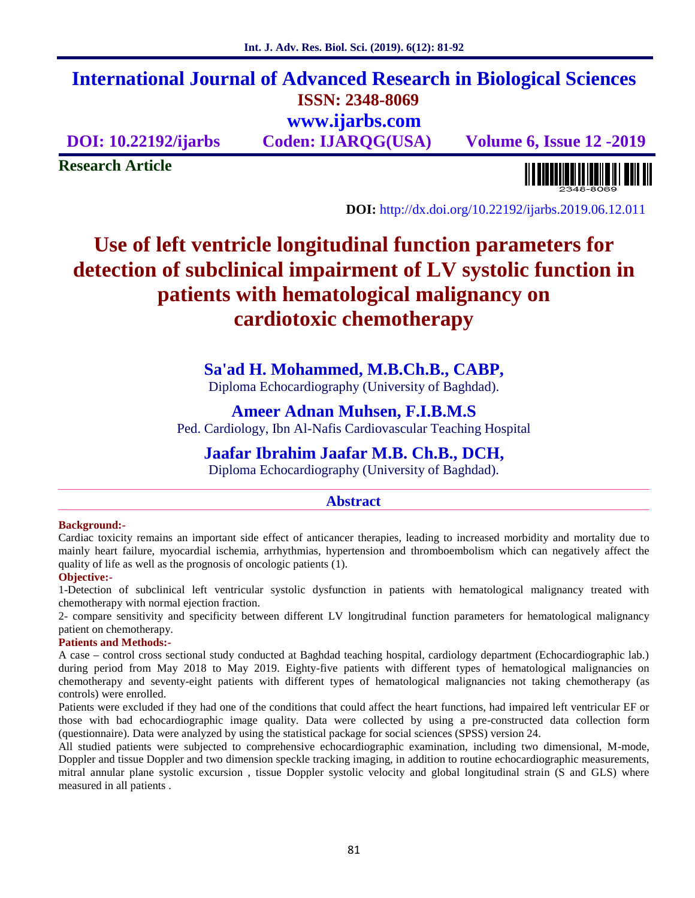# **International Journal of Advanced Research in Biological Sciences ISSN: 2348-8069 www.ijarbs.com**

**DOI: 10.22192/ijarbs Coden: IJARQG(USA) Volume 6, Issue 12 -2019**

**Research Article**

**DOI:** http://dx.doi.org/10.22192/ijarbs.2019.06.12.011

# **Use of left ventricle longitudinal function parameters for detection of subclinical impairment of LV systolic function in patients with hematological malignancy on cardiotoxic chemotherapy**

# **Sa'ad H. Mohammed, M.B.Ch.B., CABP,**

Diploma Echocardiography (University of Baghdad).

# **Ameer Adnan Muhsen, F.I.B.M.S**

Ped. Cardiology, Ibn Al-Nafis Cardiovascular Teaching Hospital

# **Jaafar Ibrahim Jaafar M.B. Ch.B., DCH,**

Diploma Echocardiography (University of Baghdad).

# **Abstract**

#### **Background:-**

Cardiac toxicity remains an important side effect of anticancer therapies, leading to increased morbidity and mortality due to mainly heart failure, myocardial ischemia, arrhythmias, hypertension and thromboembolism which can negatively affect the quality of life as well as the prognosis of oncologic patients (1).

#### **Objective:-**

1-Detection of subclinical left ventricular systolic dysfunction in patients with hematological malignancy treated with chemotherapy with normal ejection fraction.

2- compare sensitivity and specificity between different LV longitrudinal function parameters for hematological malignancy patient on chemotherapy.

#### **Patients and Methods:-**

A case – control cross sectional study conducted at Baghdad teaching hospital, cardiology department (Echocardiographic lab.) during period from May 2018 to May 2019. Eighty-five patients with different types of hematological malignancies on chemotherapy and seventy-eight patients with different types of hematological malignancies not taking chemotherapy (as controls) were enrolled.

Patients were excluded if they had one of the conditions that could affect the heart functions, had impaired left ventricular EF or those with bad echocardiographic image quality. Data were collected by using a pre-constructed data collection form (questionnaire). Data were analyzed by using the statistical package for social sciences (SPSS) version 24.

All studied patients were subjected to comprehensive echocardiographic examination, including two dimensional, M-mode, Doppler and tissue Doppler and two dimension speckle tracking imaging, in addition to routine echocardiographic measurements, mitral annular plane systolic excursion , tissue Doppler systolic velocity and global longitudinal strain (S and GLS) where measured in all patients .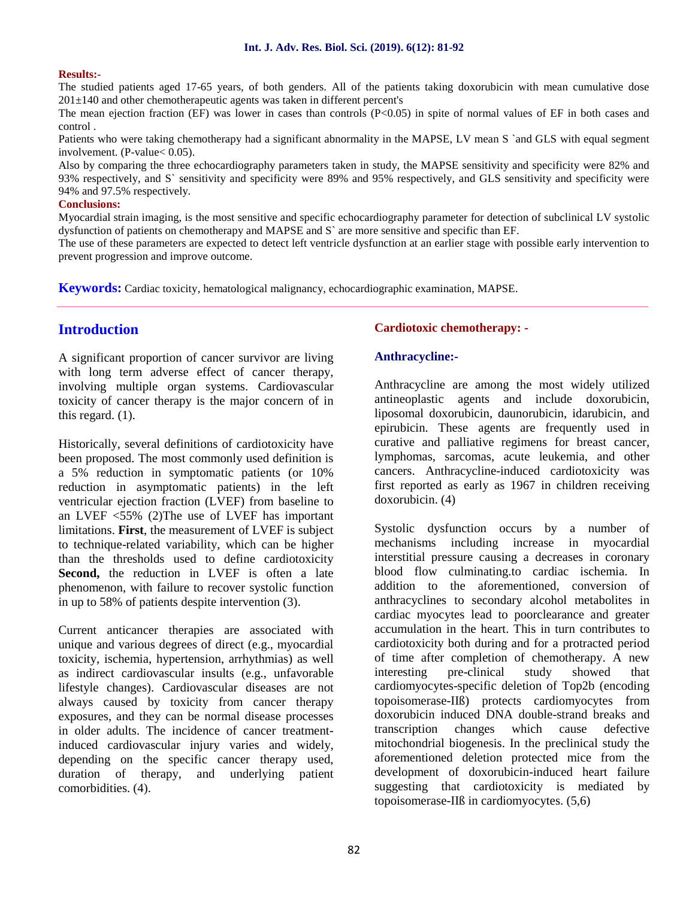#### **Results:-**

The studied patients aged 17-65 years, of both genders. All of the patients taking doxorubicin with mean cumulative dose 201±140 and other chemotherapeutic agents was taken in different percent's

The mean ejection fraction (EF) was lower in cases than controls (P<0.05) in spite of normal values of EF in both cases and control .

Patients who were taking chemotherapy had a significant abnormality in the MAPSE, LV mean S `and GLS with equal segment involvement. (P-value< 0.05).

Also by comparing the three echocardiography parameters taken in study, the MAPSE sensitivity and specificity were 82% and 93% respectively, and S` sensitivity and specificity were 89% and 95% respectively, and GLS sensitivity and specificity were 94% and 97.5% respectively.

#### **Conclusions:**

Myocardial strain imaging, is the most sensitive and specific echocardiography parameter for detection of subclinical LV systolic dysfunction of patients on chemotherapy and MAPSE and S` are more sensitive and specific than EF.

The use of these parameters are expected to detect left ventricle dysfunction at an earlier stage with possible early intervention to prevent progression and improve outcome.

**Keywords:** Cardiac toxicity, hematological malignancy, echocardiographic examination, MAPSE.

# **Introduction**

A significant proportion of cancer survivor are living with long term adverse effect of cancer therapy, involving multiple organ systems. Cardiovascular toxicity of cancer therapy is the major concern of in this regard. (1).

Historically, several definitions of cardiotoxicity have been proposed. The most commonly used definition is a 5% reduction in symptomatic patients (or 10% reduction in asymptomatic patients) in the left ventricular ejection fraction (LVEF) from baseline to an LVEF <55% (2)The use of LVEF has important limitations. **First**, the measurement of LVEF is subject to technique-related variability, which can be higher than the thresholds used to define cardiotoxicity **Second,** the reduction in LVEF is often a late phenomenon, with failure to recover systolic function in up to 58% of patients despite intervention (3).

Current anticancer therapies are associated with unique and various degrees of direct (e.g., myocardial toxicity, ischemia, hypertension, arrhythmias) as well as indirect cardiovascular insults (e.g., unfavorable lifestyle changes). Cardiovascular diseases are not always caused by toxicity from cancer therapy exposures, and they can be normal disease processes in older adults. The incidence of cancer treatmentinduced cardiovascular injury varies and widely, depending on the specific cancer therapy used, duration of therapy, and underlying patient comorbidities. (4).

# **Cardiotoxic chemotherapy: -**

# **Anthracycline:-**

Anthracycline are among the most widely utilized antineoplastic agents and include doxorubicin, liposomal doxorubicin, daunorubicin, idarubicin, and epirubicin. These agents are frequently used in curative and palliative regimens for breast cancer, lymphomas, sarcomas, acute leukemia, and other cancers. Anthracycline-induced cardiotoxicity was first reported as early as 1967 in children receiving doxorubicin. (4)

Systolic dysfunction occurs by a number of mechanisms including increase in myocardial interstitial pressure causing a decreases in coronary blood flow culminating.to cardiac ischemia. In addition to the aforementioned, conversion of anthracyclines to secondary alcohol metabolites in cardiac myocytes lead to poorclearance and greater accumulation in the heart. This in turn contributes to cardiotoxicity both during and for a protracted period of time after completion of chemotherapy. A new pre-clinical study showed that cardiomyocytes-specific deletion of Top2b (encoding topoisomerase-IIß) protects cardiomyocytes from doxorubicin induced DNA double-strand breaks and transcription changes which cause defective mitochondrial biogenesis. In the preclinical study the aforementioned deletion protected mice from the development of doxorubicin-induced heart failure suggesting that cardiotoxicity is mediated by topoisomerase-IIß in cardiomyocytes. (5,6)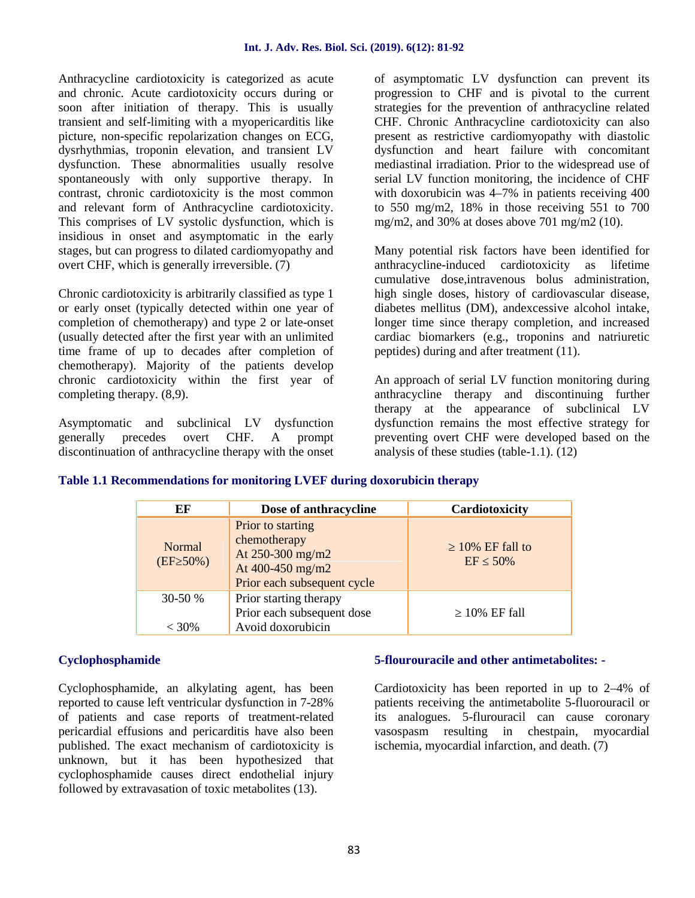Anthracycline cardiotoxicity is categorized as acute and chronic. Acute cardiotoxicity occurs during or soon after initiation of therapy. This is usually transient and self-limiting with a myopericarditis like picture, non-specific repolarization changes on ECG, dysrhythmias, troponin elevation, and transient LV dysfunction. These abnormalities usually resolve spontaneously with only supportive therapy. In contrast, chronic cardiotoxicity is the most common and relevant form of Anthracycline cardiotoxicity. This comprises of LV systolic dysfunction, which is insidious in onset and asymptomatic in the early stages, but can progress to dilated cardiomyopathy and overt CHF, which is generally irreversible. (7)

Chronic cardiotoxicity is arbitrarily classified as type 1 or early onset (typically detected within one year of completion of chemotherapy) and type 2 or late-onset (usually detected after the first year with an unlimited time frame of up to decades after completion of chemotherapy). Majority of the patients develop chronic cardiotoxicity within the first year of completing therapy. (8,9).

Asymptomatic and subclinical LV dysfunction generally precedes overt CHF. A prompt discontinuation of anthracycline therapy with the onset

of asymptomatic LV dysfunction can prevent its progression to CHF and is pivotal to the current strategies for the prevention of anthracycline related CHF. Chronic Anthracycline cardiotoxicity can also present as restrictive cardiomyopathy with diastolic dysfunction and heart failure with concomitant mediastinal irradiation. Prior to the widespread use of serial LV function monitoring, the incidence of CHF with doxorubicin was 4–7% in patients receiving 400 to 550 mg/m2, 18% in those receiving 551 to 700 mg/m2, and 30% at doses above 701 mg/m2 (10).

Many potential risk factors have been identified for anthracycline-induced cardiotoxicity as lifetime cumulative dose,intravenous bolus administration, high single doses, history of cardiovascular disease, diabetes mellitus (DM), andexcessive alcohol intake, longer time since therapy completion, and increased cardiac biomarkers (e.g., troponins and natriuretic peptides) during and after treatment (11).

An approach of serial LV function monitoring during anthracycline therapy and discontinuing further therapy at the appearance of subclinical LV dysfunction remains the most effective strategy for preventing overt CHF were developed based on the analysis of these studies (table-1.1). (12)

| EF                   | Dose of anthracycline                                                                                    | Cardiotoxicity              |
|----------------------|----------------------------------------------------------------------------------------------------------|-----------------------------|
| Normal<br>(EF 50%)   | Prior to starting<br>chemotherapy<br>At 250-300 mg/m2<br>At 400-450 mg/m2<br>Prior each subsequent cycle | 10% EF fall to<br>50%<br>EF |
| $30-50%$<br>$< 30\%$ | Prior starting therapy<br>Prior each subsequent dose<br>Avoid doxorubicin                                | 10% EF fall                 |

# **Table 1.1 Recommendations for monitoring LVEF during doxorubicin therapy**

# **Cyclophosphamide**

Cyclophosphamide, an alkylating agent, has been reported to cause left ventricular dysfunction in 7-28% of patients and case reports of treatment-related pericardial effusions and pericarditis have also been published. The exact mechanism of cardiotoxicity is unknown, but it has been hypothesized that cyclophosphamide causes direct endothelial injury followed by extravasation of toxic metabolites (13).

# **5-flourouracile and other antimetabolites: -**

Cardiotoxicity has been reported in up to 2–4% of patients receiving the antimetabolite 5-fluorouracil or its analogues. 5-flurouracil can cause coronary vasospasm resulting in chestpain, myocardial ischemia, myocardial infarction, and death. (7)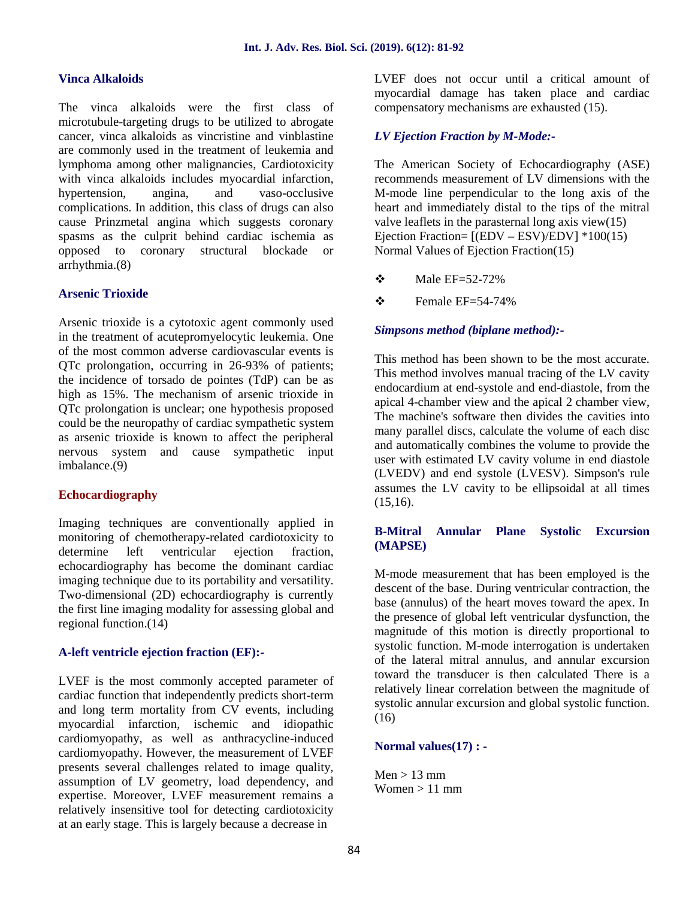#### **Vinca Alkaloids**

The vinca alkaloids were the first class of microtubule-targeting drugs to be utilized to abrogate cancer, vinca alkaloids as vincristine and vinblastine are commonly used in the treatment of leukemia and lymphoma among other malignancies, Cardiotoxicity with vinca alkaloids includes myocardial infarction, hypertension, angina, and vaso-occlusive complications. In addition, this class of drugs can also cause Prinzmetal angina which suggests coronary spasms as the culprit behind cardiac ischemia as opposed to coronary structural blockade or arrhythmia.(8)

#### **Arsenic Trioxide**

Arsenic trioxide is a cytotoxic agent commonly used in the treatment of acutepromyelocytic leukemia. One of the most common adverse cardiovascular events is QTc prolongation, occurring in 26-93% of patients; the incidence of torsado de pointes (TdP) can be as high as 15%. The mechanism of arsenic trioxide in QTc prolongation is unclear; one hypothesis proposed could be the neuropathy of cardiac sympathetic system as arsenic trioxide is known to affect the peripheral nervous system and cause sympathetic input imbalance.(9)

# **Echocardiography**

Imaging techniques are conventionally applied in monitoring of chemotherapy-related cardiotoxicity to determine left ventricular ejection fraction. echocardiography has become the dominant cardiac imaging technique due to its portability and versatility. Two-dimensional (2D) echocardiography is currently the first line imaging modality for assessing global and regional function.(14)

#### **A-left ventricle ejection fraction (EF):-**

LVEF is the most commonly accepted parameter of cardiac function that independently predicts short-term and long term mortality from CV events, including myocardial infarction, ischemic and idiopathic cardiomyopathy, as well as anthracycline-induced cardiomyopathy. However, the measurement of LVEF presents several challenges related to image quality, assumption of LV geometry, load dependency, and expertise. Moreover, LVEF measurement remains a relatively insensitive tool for detecting cardiotoxicity at an early stage. This is largely because a decrease in

LVEF does not occur until a critical amount of myocardial damage has taken place and cardiac compensatory mechanisms are exhausted (15).

#### *LV Ejection Fraction by M-Mode:-*

The American Society of Echocardiography (ASE) recommends measurement of LV dimensions with the M-mode line perpendicular to the long axis of the heart and immediately distal to the tips of the mitral valve leaflets in the parasternal long axis view(15) Ejection Fraction=  $[(EDV – ESV)/EDV] *100(15)$ Normal Values of Ejection Fraction(15)

- $\bullet$  Male EF=52-72%
- $\div$  Female EF=54-74%

#### *Simpsons method (biplane method):-*

This method has been shown to be the most accurate. This method involves manual tracing of the LV cavity endocardium at end-systole and end-diastole, from the apical 4-chamber view and the apical 2 chamber view, The machine's software then divides the cavities into many parallel discs, calculate the volume of each disc and automatically combines the volume to provide the user with estimated LV cavity volume in end diastole (LVEDV) and end systole (LVESV). Simpson's rule assumes the LV cavity to be ellipsoidal at all times  $(15,16)$ .

# **B-Mitral Annular Plane Systolic Excursion (MAPSE)**

M-mode measurement that has been employed is the descent of the base. During ventricular contraction, the base (annulus) of the heart moves toward the apex. In the presence of global left ventricular dysfunction, the magnitude of this motion is directly proportional to systolic function. M-mode interrogation is undertaken of the lateral mitral annulus, and annular excursion toward the transducer is then calculated There is a relatively linear correlation between the magnitude of systolic annular excursion and global systolic function. (16)

#### **Normal values(17) : -**

 $Men > 13$  mm Women  $> 11$  mm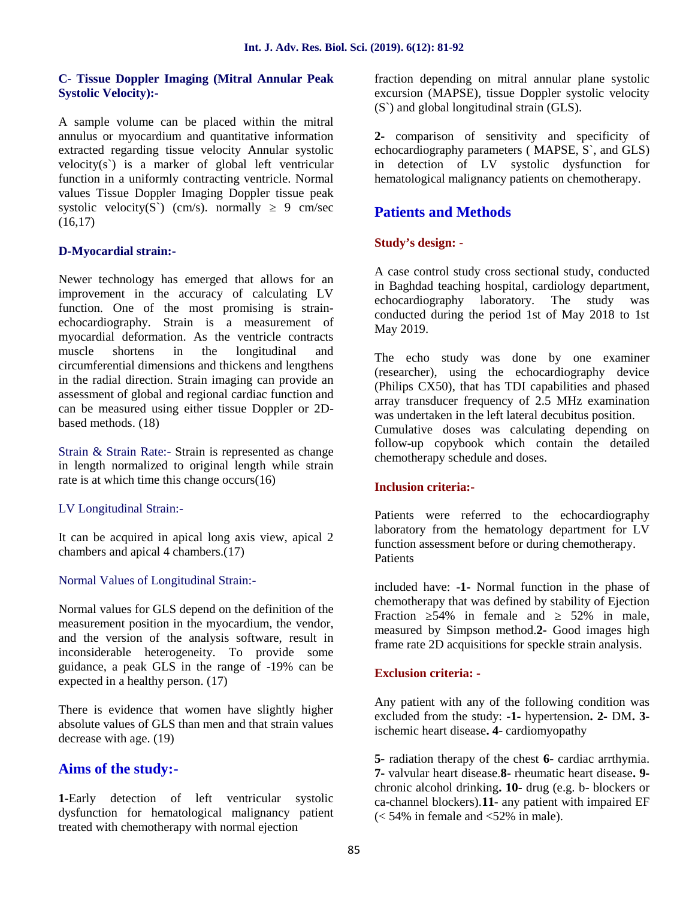### **C- Tissue Doppler Imaging (Mitral Annular Peak Systolic Velocity):-**

A sample volume can be placed within the mitral annulus or myocardium and quantitative information extracted regarding tissue velocity Annular systolic velocity $(s)$  is a marker of global left ventricular function in a uniformly contracting ventricle. Normal values Tissue Doppler Imaging Doppler tissue peak systolic velocity( $S^{\prime}$ ) (cm/s). normally 9 cm/sec  $(16,17)$ 

# **D-Myocardial strain:-**

Newer technology has emerged that allows for an improvement in the accuracy of calculating LV and the echocardiography function. One of the most promising is strain echocardiography. Strain is a measurement of myocardial deformation. As the ventricle contracts muscle shortens in the longitudinal and circumferential dimensions and thickens and lengthens in the radial direction. Strain imaging can provide an assessment of global and regional cardiac function and can be measured using either tissue Doppler or 2D based methods. (18)

Strain & Strain Rate:- Strain is represented as change in length normalized to original length while strain rate is at which time this change occurs(16)

# LV Longitudinal Strain:-

It can be acquired in apical long axis view, apical 2 chambers and apical 4 chambers.(17)

# Normal Values of Longitudinal Strain:-

Normal values for GLS depend on the definition of the measurement position in the myocardium, the vendor, and the version of the analysis software, result in inconsiderable heterogeneity. To provide some guidance, a peak GLS in the range of -19% can be expected in a healthy person. (17)

There is evidence that women have slightly higher absolute values of GLS than men and that strain values decrease with age. (19)

# **Aims of the study:-**

**1**-Early detection of left ventricular systolic dysfunction for hematological malignancy patient treated with chemotherapy with normal ejection

fraction depending on mitral annular plane systolic excursion (MAPSE), tissue Doppler systolic velocity (S`) and global longitudinal strain (GLS).

**2-** comparison of sensitivity and specificity of echocardiography parameters ( MAPSE, S`, and GLS) in detection of LV systolic dysfunction for hematological malignancy patients on chemotherapy.

# **Patients and Methods**

# **Study's design: -**

A case control study cross sectional study, conducted in Baghdad teaching hospital, cardiology department, laboratory. The study was conducted during the period 1st of May 2018 to 1st May 2019.

The echo study was done by one examiner (researcher), using the echocardiography device (Philips CX50), that has TDI capabilities and phased array transducer frequency of 2.5 MHz examination was undertaken in the left lateral decubitus position.

Cumulative doses was calculating depending on follow-up copybook which contain the detailed chemotherapy schedule and doses.

# **Inclusion criteria:-**

Patients were referred to the echocardiography laboratory from the hematology department for  $\overline{LV}$ function assessment before or during chemotherapy. **Patients** 

included have: -**1-** Normal function in the phase of chemotherapy that was defined by stability of Ejection Fraction 54% in female and 52% in male, measured by Simpson method.**2-** Good images high frame rate 2D acquisitions for speckle strain analysis.

# **Exclusion criteria: -**

Any patient with any of the following condition was excluded from the study: -**1-** hypertension**. 2-** DM**. 3** ischemic heart disease**. 4**- cardiomyopathy

**5-** radiation therapy of the chest **6-** cardiac arrthymia. **7-** valvular heart disease.**8**- rheumatic heart disease**. 9** chronic alcohol drinking**. 10-** drug (e.g. b- blockers or ca-channel blockers).**11**- any patient with impaired EF  $\ll$  54% in female and  $\lt$  52% in male).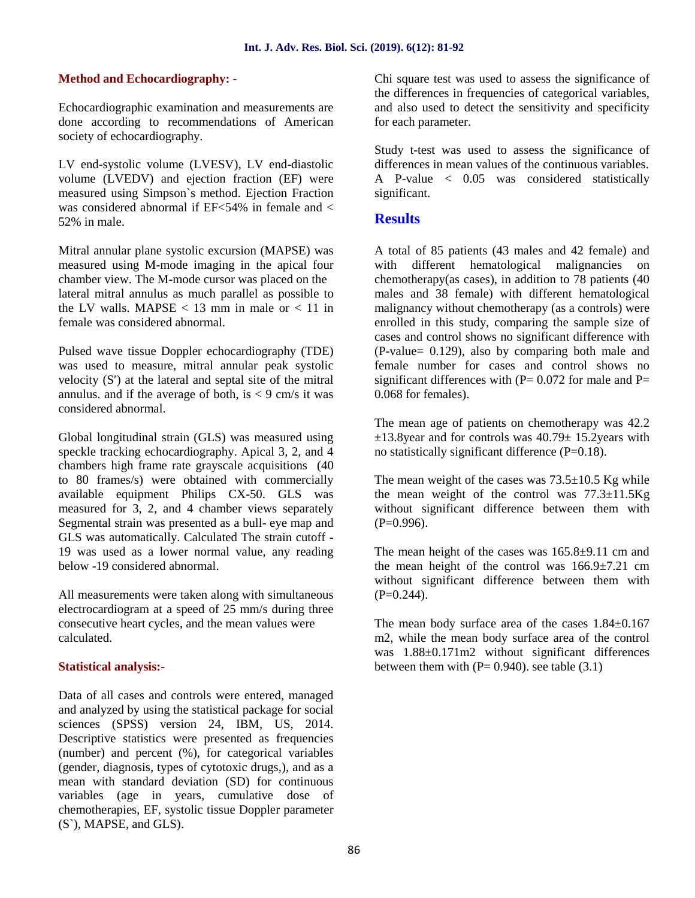# **Method and Echocardiography: -**

Echocardiographic examination and measurements are done according to recommendations of American society of echocardiography.

LV end-systolic volume (LVESV), LV end-diastolic volume (LVEDV) and ejection fraction (EF) were measured using Simpson`s method. Ejection Fraction was considered abnormal if  $EF < 54\%$  in female and  $<$ 52% in male.

Mitral annular plane systolic excursion (MAPSE) was measured using M-mode imaging in the apical four chamber view. The M-mode cursor was placed on the lateral mitral annulus as much parallel as possible to the LV walls. MAPSE  $< 13$  mm in male or  $< 11$  in female was considered abnormal.

Pulsed wave tissue Doppler echocardiography (TDE) was used to measure, mitral annular peak systolic velocity (S ) at the lateral and septal site of the mitral annulus, and if the average of both, is  $< 9$  cm/s it was considered abnormal.

Global longitudinal strain (GLS) was measured using speckle tracking echocardiography. Apical 3, 2, and 4 chambers high frame rate grayscale acquisitions (40 to 80 frames/s) were obtained with commercially available equipment Philips CX-50. GLS was measured for 3, 2, and 4 chamber views separately Segmental strain was presented as a bull- eye map and GLS was automatically. Calculated The strain cutoff - 19 was used as a lower normal value, any reading below -19 considered abnormal.

All measurements were taken along with simultaneous electrocardiogram at a speed of 25 mm/s during three consecutive heart cycles, and the mean values were calculated.

# **Statistical analysis:-**

Data of all cases and controls were entered, managed and analyzed by using the statistical package for social sciences (SPSS) version 24, IBM, US, 2014. Descriptive statistics were presented as frequencies (number) and percent (%), for categorical variables (gender, diagnosis, types of cytotoxic drugs,), and as a mean with standard deviation (SD) for continuous variables (age in years, cumulative dose of chemotherapies, EF, systolic tissue Doppler parameter (S`), MAPSE, and GLS).

Chi square test was used to assess the significance of the differences in frequencies of categorical variables, and also used to detect the sensitivity and specificity for each parameter.

Study t-test was used to assess the significance of differences in mean values of the continuous variables. A P-value < 0.05 was considered statistically significant.

# **Results**

A total of 85 patients (43 males and 42 female) and with different hematological malignancies on chemotherapy(as cases), in addition to 78 patients (40 males and 38 female) with different hematological malignancy without chemotherapy (as a controls) were enrolled in this study, comparing the sample size of cases and control shows no significant difference with (P-value= 0.129), also by comparing both male and female number for cases and control shows no significant differences with ( $P= 0.072$  for male and  $P=$ 0.068 for females).

The mean age of patients on chemotherapy was 42.2  $\pm$ 13.8year and for controls was 40.79 $\pm$  15.2years with no statistically significant difference (P=0.18).

The mean weight of the cases was  $73.5\pm10.5$  Kg while the mean weight of the control was  $77.3 \pm 11.5$ Kg without significant difference between them with  $(P=0.996)$ .

The mean height of the cases was  $165.8\pm9.11$  cm and the mean height of the control was  $166.9 \pm 7.21$  cm without significant difference between them with  $(P=0.244)$ .

The mean body surface area of the cases  $1.84 \pm 0.167$ m2, while the mean body surface area of the control was 1.88±0.171m2 without significant differences between them with  $(P= 0.940)$ . see table  $(3.1)$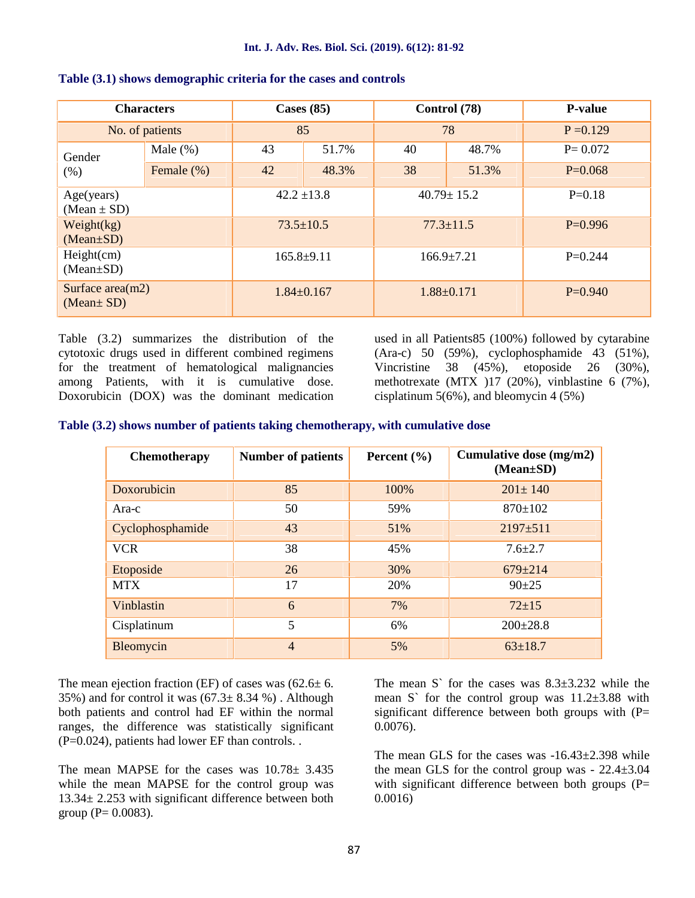|                                       | <b>Characters</b> | Cases $(85)$    |                  |    | Control (78)     | <b>P-value</b> |
|---------------------------------------|-------------------|-----------------|------------------|----|------------------|----------------|
|                                       | No. of patients   | 85              |                  |    | 78               | $P = 0.129$    |
| Gender                                | Male $(\%)$       | 43              | 51.7%            | 40 | 48.7%            | $P = 0.072$    |
| (% )                                  | Female $(\%)$     | 42              | 48.3%            | 38 | 51.3%            | $P=0.068$      |
| Age(years)<br>$(Mean \pm SD)$         |                   | $42.2 \pm 13.8$ |                  |    | $40.79 \pm 15.2$ | $P=0.18$       |
| Weight(kg)<br>$(Mean \pm SD)$         |                   | $73.5 \pm 10.5$ |                  |    | $77.3 \pm 11.5$  | $P=0.996$      |
| Height(cm)<br>$(Mean \pm SD)$         |                   |                 | $165.8+9.11$     |    | $166.9 \pm 7.21$ | $P=0.244$      |
| Surface $area(m2)$<br>$(Mean \pm SD)$ |                   |                 | $1.84 \pm 0.167$ |    | $1.88 \pm 0.171$ | $P=0.940$      |

Table (3.2) summarizes the distribution of the cytotoxic drugs used in different combined regimens for the treatment of hematological malignancies among Patients, with it is cumulative dose. Doxorubicin (DOX) was the dominant medication

used in all Patients85 (100%) followed by cytarabine (Ara-c) 50 (59%), cyclophosphamide 43 (51%), Vincristine 38 (45%), etoposide 26 (30%), methotrexate (MTX )17 (20%), vinblastine 6 (7%), cisplatinum 5(6%), and bleomycin 4 (5%)

|  |  | Table (3.2) shows number of patients taking chemotherapy, with cumulative dose |
|--|--|--------------------------------------------------------------------------------|
|--|--|--------------------------------------------------------------------------------|

| Chemotherapy     | <b>Number of patients</b> | Percent $(\% )$ | Cumulative dose (mg/m2)<br>(Mean±SD) |
|------------------|---------------------------|-----------------|--------------------------------------|
| Doxorubicin      | 85                        | 100%            | $201 \pm 140$                        |
| Ara-c            | 50                        | 59%             | $870 \pm 102$                        |
| Cyclophosphamide | 43                        | 51%             | $2197 + 511$                         |
| <b>VCR</b>       | 38                        | 45%             | $7.6 \pm 2.7$                        |
| Etoposide        | 26                        | 30%             | $679 \pm 214$                        |
| <b>MTX</b>       | 17                        | 20%             | $90+25$                              |
| Vinblastin       | 6                         | 7%              | $72 + 15$                            |
| Cisplatinum      | 5                         | 6%              | $200 \pm 28.8$                       |
| Bleomycin        | $\overline{4}$            | 5%              | $63 \pm 18.7$                        |

The mean ejection fraction (EF) of cases was  $(62.6 \pm 6.1)$ 35%) and for control it was  $(67.3 \pm 8.34)$ %). Although both patients and control had EF within the normal ranges, the difference was statistically significant  $(P=0.024)$ , patients had lower EF than controls. .

The mean MAPSE for the cases was  $10.78 \pm 3.435$ while the mean MAPSE for the control group was 13.34± 2.253 with significant difference between both group ( $P = 0.0083$ ).

The mean S for the cases was  $8.3\pm3.232$  while the mean S` for the control group was 11.2±3.88 with significant difference between both groups with  $(P=$ 0.0076).

The mean GLS for the cases was -16.43±2.398 while the mean GLS for the control group was  $-22.4 \pm 3.04$ with significant difference between both groups  $(P=$ 0.0016)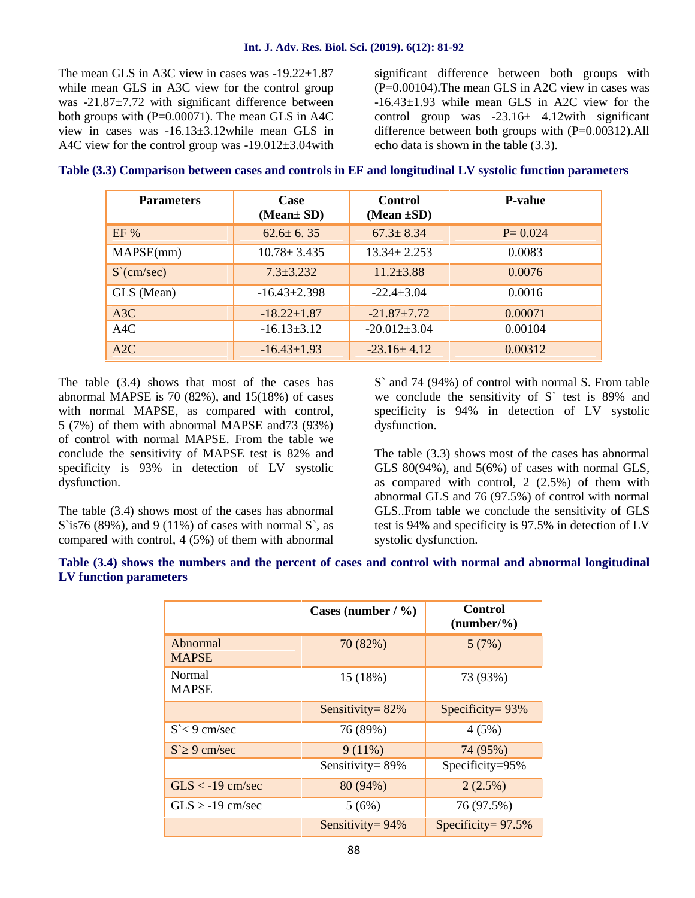The mean GLS in A3C view in cases was -19.22 $\pm$ 1.87 while mean GLS in A3C view for the control group was -21.87 $\pm$ 7.72 with significant difference between both groups with (P=0.00071). The mean GLS in A4C view in cases was -16.13±3.12while mean GLS in A4C view for the control group was -19.012±3.04with

significant difference between both groups with (P=0.00104).The mean GLS in A2C view in cases was -16.43±1.93 while mean GLS in A2C view for the control group was  $-23.16 \pm 4.12$  with significant difference between both groups with (P=0.00312).All echo data is shown in the table (3.3).

| <b>Parameters</b>       | Case<br>$(Mean \pm SD)$ | Control<br>(Mean $\pm SD$ ) | <b>P-value</b> |
|-------------------------|-------------------------|-----------------------------|----------------|
| EF%                     | $62.6 \pm 6.35$         | $67.3 \pm 8.34$             | $P = 0.024$    |
| MAPSE(mm)               | $10.78 \pm 3.435$       | $13.34 \pm 2.253$           | 0.0083         |
| S <sup>z</sup> (cm/sec) | $7.3 + 3.232$           | $11.2 \pm 3.88$             | 0.0076         |
| GLS (Mean)              | $-16.43 \pm 2.398$      | $-22.4 \pm 3.04$            | 0.0016         |
| A3C                     | $-18.22 \pm 1.87$       | $-21.87 \pm 7.72$           | 0.00071        |
| A4C                     | $-16.13\pm3.12$         | $-20.012 \pm 3.04$          | 0.00104        |
| A2C                     | $-16.43 \pm 1.93$       | $-23.16 \pm 4.12$           | 0.00312        |

# **Table (3.3) Comparison between cases and controls in EF and longitudinal LV systolic function parameters**

The table (3.4) shows that most of the cases has abnormal MAPSE is  $70$  (82%), and  $15(18%)$  of cases with normal MAPSE, as compared with control, 5 (7%) of them with abnormal MAPSE and73 (93%) of control with normal MAPSE. From the table we conclude the sensitivity of MAPSE test is 82% and specificity is 93% in detection of LV systolic dysfunction.

The table (3.4) shows most of the cases has abnormal  $S$  is76 (89%), and 9 (11%) of cases with normal  $S$ , as compared with control, 4 (5%) of them with abnormal

S` and 74 (94%) of control with normal S. From table we conclude the sensitivity of S` test is 89% and specificity is 94% in detection of LV systolic dysfunction.

The table (3.3) shows most of the cases has abnormal GLS 80(94%), and 5(6%) of cases with normal GLS, as compared with control, 2 (2.5%) of them with abnormal GLS and 76 (97.5%) of control with normal GLS..From table we conclude the sensitivity of GLS test is 94% and specificity is 97.5% in detection of LV systolic dysfunction.

# **Table (3.4) shows the numbers and the percent of cases and control with normal and abnormal longitudinal LV function parameters**

|                          | Cases (number $/ \frac{9}{6}$ ) | Control<br>$(number/\%)$ |
|--------------------------|---------------------------------|--------------------------|
| Abnormal<br><b>MAPSE</b> | 70 (82%)                        | 5(7%)                    |
| Normal<br><b>MAPSE</b>   | 15 (18%)                        | 73 (93%)                 |
|                          | Sensitivity = $82\%$            | Specificity= $93\%$      |
| $S < 9$ cm/sec           | 76 (89%)                        | 4(5%)                    |
| $S^{\sim}$<br>9 cm/sec   | $9(11\%)$                       | 74 (95%)                 |
|                          | Sensitivity=89%                 | Specificity=95%          |
| $GLS < -19$ cm/sec       | $80(94\%)$                      | $2(2.5\%)$               |
| $GLS - 19$ cm/sec        | 5(6%)                           | 76 (97.5%)               |
|                          | Sensitivity = $94\%$            | Specificity= $97.5\%$    |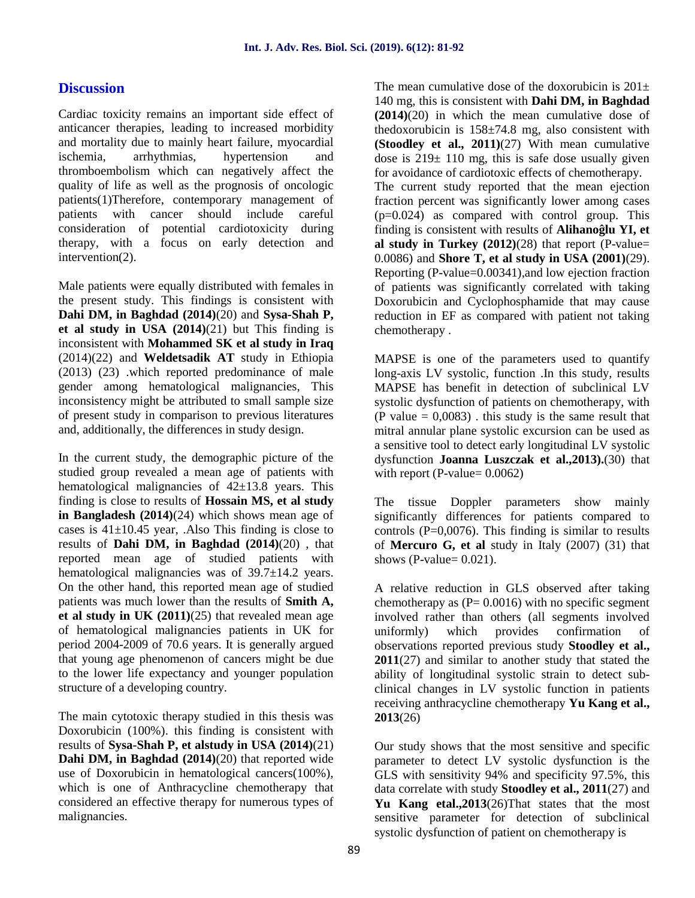# **Discussion**

Cardiac toxicity remains an important side effect of anticancer therapies, leading to increased morbidity and mortality due to mainly heart failure, myocardial ischemia, arrhythmias, hypertension and thromboembolism which can negatively affect the quality of life as well as the prognosis of oncologic patients(1)Therefore, contemporary management of patients with cancer should include careful consideration of potential cardiotoxicity during therapy, with a focus on early detection and intervention(2).

Male patients were equally distributed with females in the present study. This findings is consistent with **Dahi DM, in Baghdad (2014)**(20) and **Sysa-Shah P, et al study in USA (2014)**(21) but This finding is inconsistent with **Mohammed SK et al study in Iraq** (2014)(22) and **Weldetsadik AT** study in Ethiopia (2013) (23) .which reported predominance of male gender among hematological malignancies, This inconsistency might be attributed to small sample size of present study in comparison to previous literatures and, additionally, the differences in study design.

In the current study, the demographic picture of the studied group revealed a mean age of patients with hematological malignancies of  $42\pm13.8$  years. This finding is close to results of **Hossain MS, et al study in Bangladesh (2014)**(24) which shows mean age of cases is  $41\pm10.45$  year, .Also This finding is close to results of **Dahi DM, in Baghdad (2014)**(20) , that reported mean age of studied patients with hematological malignancies was of 39.7±14.2 years. On the other hand, this reported mean age of studied patients was much lower than the results of **Smith A, et al study in UK (2011)**(25) that revealed mean age of hematological malignancies patients in UK for period 2004-2009 of 70.6 years. It is generally argued that young age phenomenon of cancers might be due to the lower life expectancy and younger population structure of a developing country.

The main cytotoxic therapy studied in this thesis was Doxorubicin (100%). this finding is consistent with results of **Sysa-Shah P, et alstudy in USA (2014)**(21) **Dahi DM, in Baghdad (2014)**(20) that reported wide use of Doxorubicin in hematological cancers(100%), which is one of Anthracycline chemotherapy that considered an effective therapy for numerous types of malignancies.

The mean cumulative dose of the doxorubicin is  $201 \pm$ 140 mg, this is consistent with **Dahi DM, in Baghdad (2014)**(20) in which the mean cumulative dose of thedoxorubicin is  $158\pm74.8$  mg, also consistent with **(Stoodley et al., 2011)**(27) With mean cumulative dose is  $219 \pm 110$  mg, this is safe dose usually given for avoidance of cardiotoxic effects of chemotherapy. The current study reported that the mean ejection fraction percent was significantly lower among cases (p=0.024) as compared with control group. This finding is consistent with results of **Alihano lu YI, et al study in Turkey**  $(2012)(28)$  **that report (P-value=** 0.0086) and **Shore T, et al study in USA (2001)**(29). Reporting (P-value=0.00341),and low ejection fraction of patients was significantly correlated with taking Doxorubicin and Cyclophosphamide that may cause reduction in EF as compared with patient not taking chemotherapy .

MAPSE is one of the parameters used to quantify long-axis LV systolic, function .In this study, results MAPSE has benefit in detection of subclinical LV systolic dysfunction of patients on chemotherapy, with (P value  $= 0.0083$ ). this study is the same result that mitral annular plane systolic excursion can be used as a sensitive tool to detect early longitudinal LV systolic dysfunction **Joanna Luszczak et al.,2013).**(30) that with report (P-value=  $0.0062$ )

The tissue Doppler parameters show mainly significantly differences for patients compared to controls  $(P=0.0076)$ . This finding is similar to results of **Mercuro G, et al** study in Italy (2007) (31) that shows (P-value=  $0.021$ ).

A relative reduction in GLS observed after taking chemotherapy as  $(P= 0.0016)$  with no specific segment involved rather than others (all segments involved uniformly) which provides confirmation of observations reported previous study **Stoodley et al., 2011**(27) and similar to another study that stated the ability of longitudinal systolic strain to detect sub clinical changes in LV systolic function in patients receiving anthracycline chemotherapy **Yu Kang et al., 2013**(26)

Our study shows that the most sensitive and specific parameter to detect LV systolic dysfunction is the GLS with sensitivity 94% and specificity 97.5%, this data correlate with study **Stoodley et al., 2011**(27) and **Yu Kang etal.,2013**(26)That states that the most sensitive parameter for detection of subclinical systolic dysfunction of patient on chemotherapy is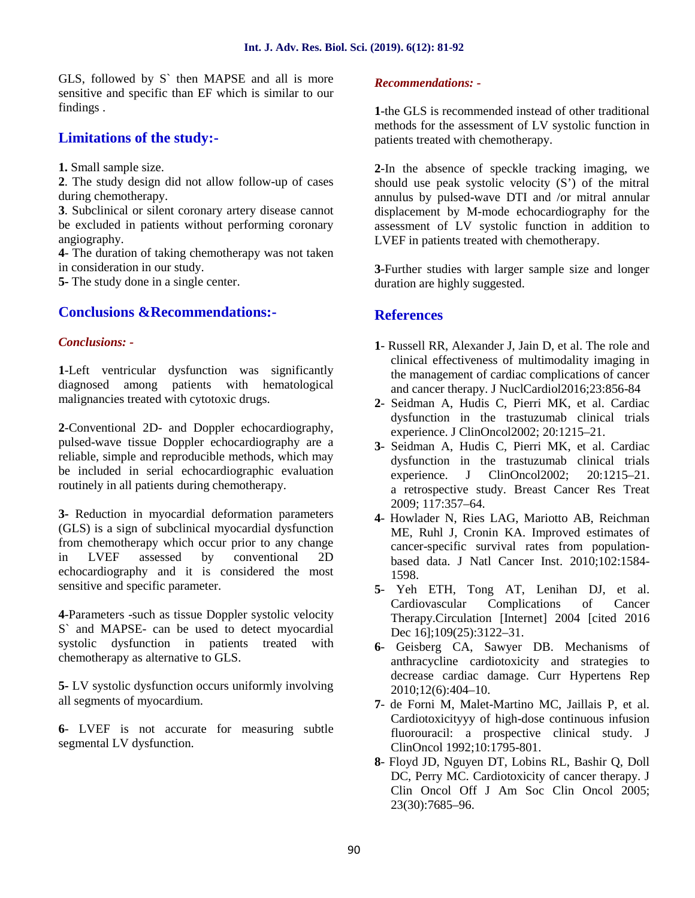GLS, followed by S` then MAPSE and all is more sensitive and specific than EF which is similar to our findings .

# **Limitations of the study:-**

**1.** Small sample size.

**2**. The study design did not allow follow-up of cases during chemotherapy.

**3**. Subclinical or silent coronary artery disease cannot be excluded in patients without performing coronary angiography.

**4**- The duration of taking chemotherapy was not taken in consideration in our study.

**5-** The study done in a single center.

# **Conclusions &Recommendations:-**

# *Conclusions: -*

**1**-Left ventricular dysfunction was significantly diagnosed among patients with hematological malignancies treated with cytotoxic drugs.

**2**-Conventional 2D- and Doppler echocardiography, pulsed-wave tissue Doppler echocardiography are a reliable, simple and reproducible methods, which may be included in serial echocardiographic evaluation routinely in all patients during chemotherapy.

**3-** Reduction in myocardial deformation parameters (GLS) is a sign of subclinical myocardial dysfunction from chemotherapy which occur prior to any change in LVEF assessed by conventional 2D echocardiography and it is considered the most sensitive and specific parameter.

**4**-Parameters -such as tissue Doppler systolic velocity S` and MAPSE- can be used to detect myocardial systolic dysfunction in patients treated with chemotherapy as alternative to GLS.

**5-** LV systolic dysfunction occurs uniformly involving all segments of myocardium.

**6**- LVEF is not accurate for measuring subtle segmental LV dysfunction.

# *Recommendations: -*

**1**-the GLS is recommended instead of other traditional methods for the assessment of LV systolic function in patients treated with chemotherapy.

**2**-In the absence of speckle tracking imaging, we should use peak systolic velocity (S') of the mitral annulus by pulsed-wave DTI and /or mitral annular displacement by M-mode echocardiography for the assessment of LV systolic function in addition to LVEF in patients treated with chemotherapy.

**3**-Further studies with larger sample size and longer duration are highly suggested.

# **References**

- **1** Russell RR, Alexander J, Jain D, et al. The role and clinical effectiveness of multimodality imaging in the management of cardiac complications of cancer and cancer therapy. J NuclCardiol2016;23:856-84
- **2** Seidman A, Hudis C, Pierri MK, et al. Cardiac dysfunction in the trastuzumab clinical trials experience. J ClinOncol2002; 20:1215–21.
- **3** Seidman A, Hudis C, Pierri MK, et al. Cardiac dysfunction in the trastuzumab clinical trials experience. J ClinOncol2002; 20:1215–21. a retrospective study. Breast Cancer Res Treat 2009; 117:357–64.
- **4** Howlader N, Ries LAG, Mariotto AB, Reichman ME, Ruhl J, Cronin KA. Improved estimates of cancer-specific survival rates from population based data. J Natl Cancer Inst. 2010;102:1584- 1598.
- **5** Yeh ETH, Tong AT, Lenihan DJ, et al. Cardiovascular Complications of Cancer Therapy.Circulation [Internet] 2004 [cited 2016 Dec 16];109(25):3122-31.
- **6** Geisberg CA, Sawyer DB. Mechanisms of anthracycline cardiotoxicity and strategies to decrease cardiac damage. Curr Hypertens Rep 2010;12(6):404–10.
- **7** de Forni M, Malet-Martino MC, Jaillais P, et al. Cardiotoxicityyy of high-dose continuous infusion fluorouracil: a prospective clinical study. J ClinOncol 1992;10:1795-801.
- **8** Floyd JD, Nguyen DT, Lobins RL, Bashir Q, Doll DC, Perry MC. Cardiotoxicity of cancer therapy. J Clin Oncol Off J Am Soc Clin Oncol 2005; 23(30):7685–96.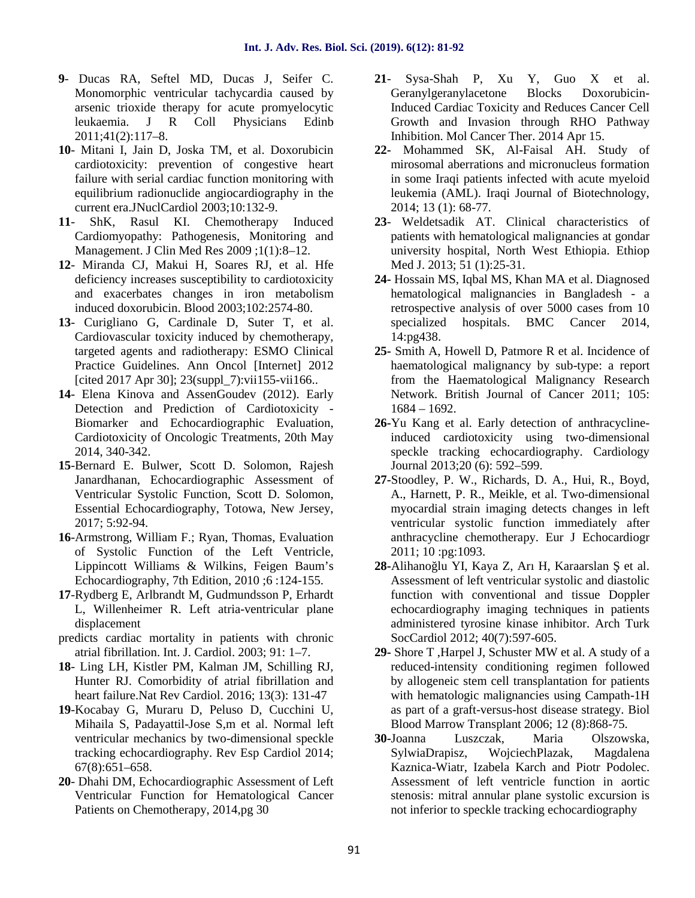- **9** Ducas RA, Seftel MD, Ducas J, Seifer C. Monomorphic ventricular tachycardia caused by arsenic trioxide therapy for acute promyelocytic<br>leukaemia. J R Coll Physicians Edinb leukaemia. J R Coll Physicians 2011;41(2):117–8.
- **10** Mitani I, Jain D, Joska TM, et al. Doxorubicin cardiotoxicity: prevention of congestive heart failure with serial cardiac function monitoring with equilibrium radionuclide angiocardiography in the current era.JNuclCardiol 2003;10:132-9.
- **11** ShK, Rasul KI. Chemotherapy Induced Cardiomyopathy: Pathogenesis, Monitoring and Management. J Clin Med Res 2009 ;1(1):8–12.
- **12** Miranda CJ, Makui H, Soares RJ, et al. Hfe deficiency increases susceptibility to cardiotoxicity and exacerbates changes in iron metabolism induced doxorubicin. Blood 2003;102:2574-80.
- **13** Curigliano G, Cardinale D, Suter T, et al. Cardiovascular toxicity induced by chemotherapy, targeted agents and radiotherapy: ESMO Clinical Practice Guidelines. Ann Oncol [Internet] 2012 [cited 2017 Apr 30]; 23(suppl\_7):vii155-vii166..
- **14** Elena Kinova and AssenGoudev (2012). Early Detection and Prediction of Cardiotoxicity -Biomarker and Echocardiographic Evaluation, Cardiotoxicity of Oncologic Treatments, 20th May 2014, 340-342.
- **15**-Bernard E. Bulwer, Scott D. Solomon, Rajesh Janardhanan, Echocardiographic Assessment of Ventricular Systolic Function, Scott D. Solomon, Essential Echocardiography, Totowa, New Jersey, 2017; 5:92-94.
- **16**-Armstrong, William F.; Ryan, Thomas, Evaluation of Systolic Function of the Left Ventricle, Lippincott Williams & Wilkins, Feigen Baum's Echocardiography, 7th Edition, 2010 ;6 :124-155.
- **17**-Rydberg E, Arlbrandt M, Gudmundsson P, Erhardt L, Willenheimer R. Left atria-ventricular plane displacement
- predicts cardiac mortality in patients with chronic atrial fibrillation. Int. J. Cardiol. 2003; 91: 1–7.
- **18** Ling LH, Kistler PM, Kalman JM, Schilling RJ, Hunter RJ. Comorbidity of atrial fibrillation and heart failure.Nat Rev Cardiol. 2016; 13(3): 131-47
- **19**-Kocabay G, Muraru D, Peluso D, Cucchini U, Mihaila S, Padayattil-Jose S,m et al. Normal left ventricular mechanics by two-dimensional speckle 30-Joanna tracking echocardiography. Rev Esp Cardiol 2014; 67(8):651–658.
- **20** Dhahi DM, Echocardiographic Assessment of Left Ventricular Function for Hematological Cancer Patients on Chemotherapy, 2014,pg 30
- **21** Sysa-Shah P, Xu Y, Guo X et al. Geranylgeranylacetone Blocks Doxorubicin-Induced Cardiac Toxicity and Reduces Cancer Cell Growth and Invasion through RHO Pathway Inhibition. Mol Cancer Ther. 2014 Apr 15.
- **22-** Mohammed SK, Al-Faisal AH. Study of mirosomal aberrations and micronucleus formation in some Iraqi patients infected with acute myeloid leukemia (AML). Iraqi Journal of Biotechnology, 2014; 13 (1): 68-77.
- **23** Weldetsadik AT. Clinical characteristics of patients with hematological malignancies at gondar university hospital, North West Ethiopia. Ethiop Med J. 2013; 51 (1):25-31.
- **24-** Hossain MS, Iqbal MS, Khan MA et al. Diagnosed hematological malignancies in Bangladesh - a retrospective analysis of over 5000 cases from 10 specialized hospitals. BMC Cancer 2014, 14:pg438.
- **25-** Smith A, Howell D, Patmore R et al. Incidence of haematological malignancy by sub-type: a report from the Haematological Malignancy Research Network. British Journal of Cancer 2011; 105: 1684 – 1692.
- **26-**Yu Kang et al. Early detection of anthracyclineinduced cardiotoxicity using two-dimensional speckle tracking echocardiography. Cardiology Journal 2013;20 (6): 592–599.
- **27-**Stoodley, P. W., Richards, D. A., Hui, R., Boyd, A., Harnett, P. R., Meikle, et al. Two-dimensional myocardial strain imaging detects changes in left ventricular systolic function immediately after anthracycline chemotherapy. Eur J Echocardiogr 2011; 10 :pg:1093.
- 28-Alihano lu YI, Kaya Z, Arı H, Karaarslan et al. Assessment of left ventricular systolic and diastolic function with conventional and tissue Doppler echocardiography imaging techniques in patients administered tyrosine kinase inhibitor. Arch Turk SocCardiol 2012; 40(7):597-605.
- **29-** Shore T ,Harpel J, Schuster MW et al. A study of a reduced-intensity conditioning regimen followed by allogeneic stem cell transplantation for patients with hematologic malignancies using Campath-1H as part of a graft-versus-host disease strategy. Biol Blood Marrow Transplant 2006; 12 (8):868-75.
- Luszczak, Maria Olszowska, SylwiaDrapisz, WojciechPlazak, Magdalena Kaznica-Wiatr, Izabela Karch and Piotr Podolec. Assessment of left ventricle function in aortic stenosis: mitral annular plane systolic excursion is not inferior to speckle tracking echocardiography